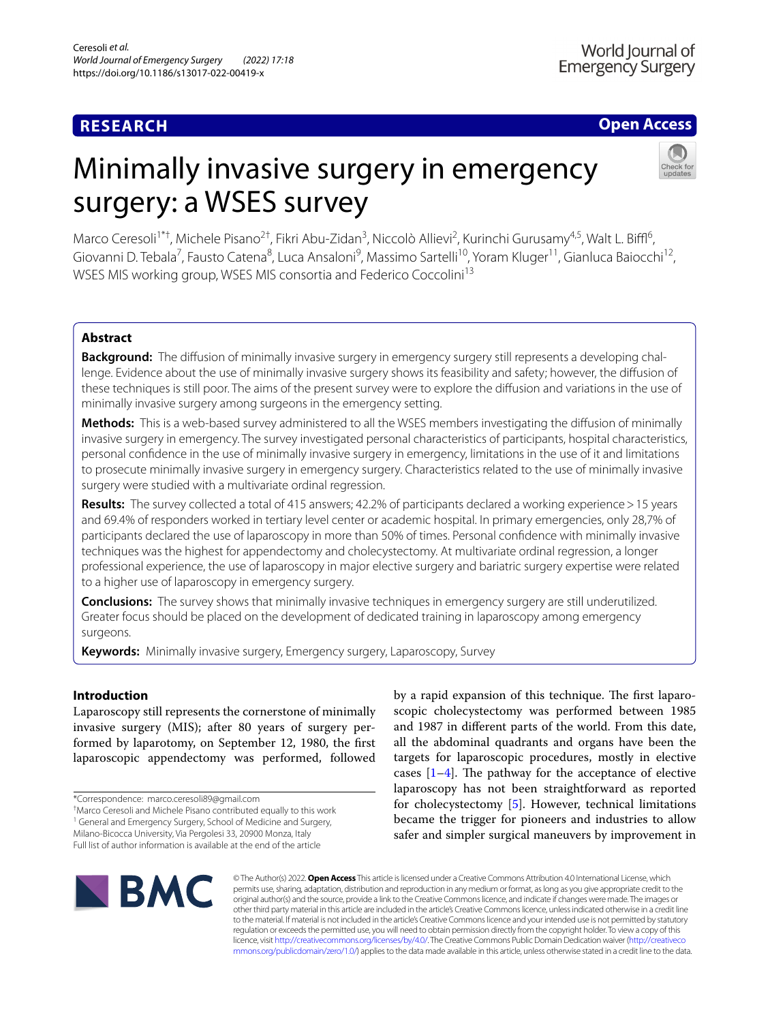## **RESEARCH**

## **Open Access**

# Minimally invasive surgery in emergency surgery: a WSES survey



Marco Ceresoli<sup>1\*†</sup>, Michele Pisano<sup>2†</sup>, Fikri Abu-Zidan<sup>3</sup>, Niccolò Allievi<sup>2</sup>, Kurinchi Gurusamy<sup>4,5</sup>, Walt L. Biffl<sup>6</sup>, Giovanni D. Tebala<sup>7</sup>, Fausto Catena<sup>8</sup>, Luca Ansaloni<sup>9</sup>, Massimo Sartelli<sup>10</sup>, Yoram Kluger<sup>11</sup>, Gianluca Baiocchi<sup>12</sup>, WSES MIS working group, WSES MIS consortia and Federico Coccolini<sup>13</sup>

## **Abstract**

**Background:** The diffusion of minimally invasive surgery in emergency surgery still represents a developing challenge. Evidence about the use of minimally invasive surgery shows its feasibility and safety; however, the difusion of these techniques is still poor. The aims of the present survey were to explore the difusion and variations in the use of minimally invasive surgery among surgeons in the emergency setting.

**Methods:** This is a web-based survey administered to all the WSES members investigating the difusion of minimally invasive surgery in emergency. The survey investigated personal characteristics of participants, hospital characteristics, personal confdence in the use of minimally invasive surgery in emergency, limitations in the use of it and limitations to prosecute minimally invasive surgery in emergency surgery. Characteristics related to the use of minimally invasive surgery were studied with a multivariate ordinal regression.

**Results:** The survey collected a total of 415 answers; 42.2% of participants declared a working experience>15 years and 69.4% of responders worked in tertiary level center or academic hospital. In primary emergencies, only 28,7% of participants declared the use of laparoscopy in more than 50% of times. Personal confdence with minimally invasive techniques was the highest for appendectomy and cholecystectomy. At multivariate ordinal regression, a longer professional experience, the use of laparoscopy in major elective surgery and bariatric surgery expertise were related to a higher use of laparoscopy in emergency surgery.

**Conclusions:** The survey shows that minimally invasive techniques in emergency surgery are still underutilized. Greater focus should be placed on the development of dedicated training in laparoscopy among emergency surgeons.

**Keywords:** Minimally invasive surgery, Emergency surgery, Laparoscopy, Survey

## **Introduction**

Laparoscopy still represents the cornerstone of minimally invasive surgery (MIS); after 80 years of surgery performed by laparotomy, on September 12, 1980, the frst laparoscopic appendectomy was performed, followed

† Marco Ceresoli and Michele Pisano contributed equally to this work

<sup>1</sup> General and Emergency Surgery, School of Medicine and Surgery,

Milano-Bicocca University, Via Pergolesi 33, 20900 Monza, Italy

Full list of author information is available at the end of the article

by a rapid expansion of this technique. The first laparoscopic cholecystectomy was performed between 1985 and 1987 in diferent parts of the world. From this date, all the abdominal quadrants and organs have been the targets for laparoscopic procedures, mostly in elective cases  $[1-4]$  $[1-4]$ . The pathway for the acceptance of elective laparoscopy has not been straightforward as reported for cholecystectomy [\[5](#page-7-2)]. However, technical limitations became the trigger for pioneers and industries to allow safer and simpler surgical maneuvers by improvement in



© The Author(s) 2022. **Open Access** This article is licensed under a Creative Commons Attribution 4.0 International License, which permits use, sharing, adaptation, distribution and reproduction in any medium or format, as long as you give appropriate credit to the original author(s) and the source, provide a link to the Creative Commons licence, and indicate if changes were made. The images or other third party material in this article are included in the article's Creative Commons licence, unless indicated otherwise in a credit line to the material. If material is not included in the article's Creative Commons licence and your intended use is not permitted by statutory regulation or exceeds the permitted use, you will need to obtain permission directly from the copyright holder. To view a copy of this licence, visit [http://creativecommons.org/licenses/by/4.0/.](http://creativecommons.org/licenses/by/4.0/) The Creative Commons Public Domain Dedication waiver ([http://creativeco](http://creativecommons.org/publicdomain/zero/1.0/) [mmons.org/publicdomain/zero/1.0/](http://creativecommons.org/publicdomain/zero/1.0/)) applies to the data made available in this article, unless otherwise stated in a credit line to the data.

<sup>\*</sup>Correspondence: marco.ceresoli89@gmail.com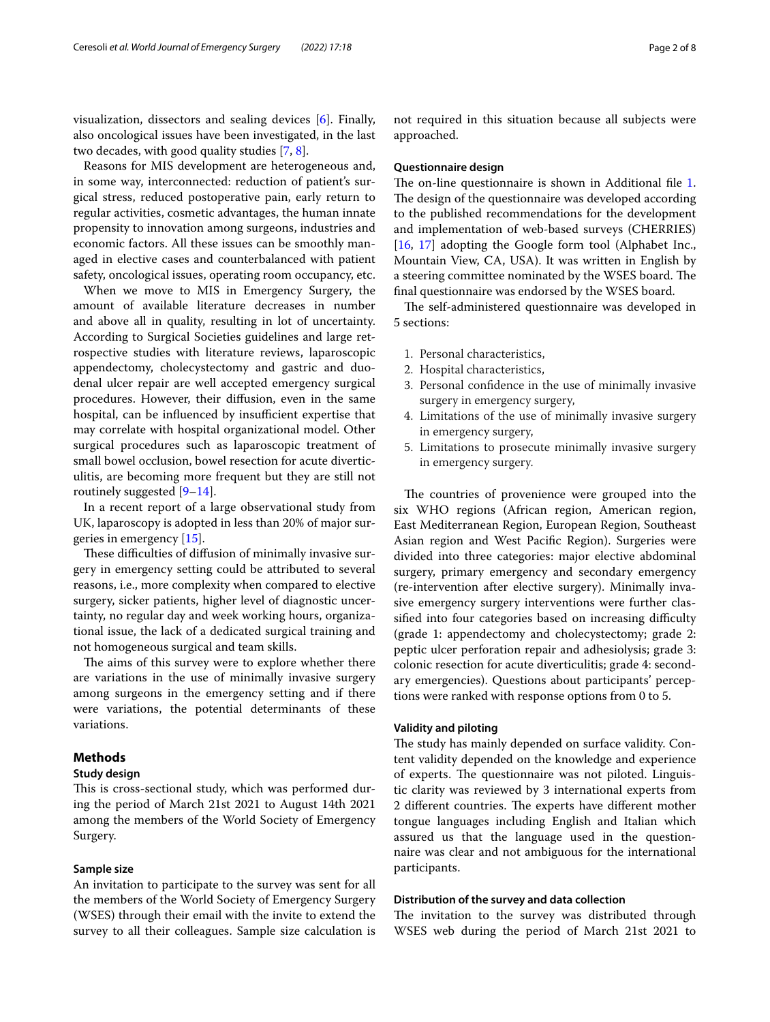visualization, dissectors and sealing devices [\[6](#page-7-3)]. Finally, also oncological issues have been investigated, in the last two decades, with good quality studies [\[7](#page-7-4), [8\]](#page-7-5).

Reasons for MIS development are heterogeneous and, in some way, interconnected: reduction of patient's surgical stress, reduced postoperative pain, early return to regular activities, cosmetic advantages, the human innate propensity to innovation among surgeons, industries and economic factors. All these issues can be smoothly managed in elective cases and counterbalanced with patient safety, oncological issues, operating room occupancy, etc.

When we move to MIS in Emergency Surgery, the amount of available literature decreases in number and above all in quality, resulting in lot of uncertainty. According to Surgical Societies guidelines and large retrospective studies with literature reviews, laparoscopic appendectomy, cholecystectomy and gastric and duodenal ulcer repair are well accepted emergency surgical procedures. However, their difusion, even in the same hospital, can be influenced by insufficient expertise that may correlate with hospital organizational model. Other surgical procedures such as laparoscopic treatment of small bowel occlusion, bowel resection for acute diverticulitis, are becoming more frequent but they are still not routinely suggested [\[9](#page-7-6)[–14](#page-7-7)].

In a recent report of a large observational study from UK, laparoscopy is adopted in less than 20% of major surgeries in emergency [\[15](#page-7-8)].

These difficulties of diffusion of minimally invasive surgery in emergency setting could be attributed to several reasons, i.e., more complexity when compared to elective surgery, sicker patients, higher level of diagnostic uncertainty, no regular day and week working hours, organizational issue, the lack of a dedicated surgical training and not homogeneous surgical and team skills.

The aims of this survey were to explore whether there are variations in the use of minimally invasive surgery among surgeons in the emergency setting and if there were variations, the potential determinants of these variations.

## **Methods**

## **Study design**

This is cross-sectional study, which was performed during the period of March 21st 2021 to August 14th 2021 among the members of the World Society of Emergency Surgery.

## **Sample size**

An invitation to participate to the survey was sent for all the members of the World Society of Emergency Surgery (WSES) through their email with the invite to extend the survey to all their colleagues. Sample size calculation is not required in this situation because all subjects were approached.

## **Questionnaire design**

The on-line questionnaire is shown in Additional file [1](#page-6-0). The design of the questionnaire was developed according to the published recommendations for the development and implementation of web-based surveys (CHERRIES) [[16,](#page-7-9) [17\]](#page-7-10) adopting the Google form tool (Alphabet Inc., Mountain View, CA, USA). It was written in English by a steering committee nominated by the WSES board. The fnal questionnaire was endorsed by the WSES board.

The self-administered questionnaire was developed in 5 sections:

- 1. Personal characteristics,
- 2. Hospital characteristics,
- 3. Personal confdence in the use of minimally invasive surgery in emergency surgery,
- 4. Limitations of the use of minimally invasive surgery in emergency surgery,
- 5. Limitations to prosecute minimally invasive surgery in emergency surgery.

The countries of provenience were grouped into the six WHO regions (African region, American region, East Mediterranean Region, European Region, Southeast Asian region and West Pacifc Region). Surgeries were divided into three categories: major elective abdominal surgery, primary emergency and secondary emergency (re-intervention after elective surgery). Minimally invasive emergency surgery interventions were further classified into four categories based on increasing difficulty (grade 1: appendectomy and cholecystectomy; grade 2: peptic ulcer perforation repair and adhesiolysis; grade 3: colonic resection for acute diverticulitis; grade 4: secondary emergencies). Questions about participants' perceptions were ranked with response options from 0 to 5.

## **Validity and piloting**

The study has mainly depended on surface validity. Content validity depended on the knowledge and experience of experts. The questionnaire was not piloted. Linguistic clarity was reviewed by 3 international experts from 2 different countries. The experts have different mother tongue languages including English and Italian which assured us that the language used in the questionnaire was clear and not ambiguous for the international participants.

## **Distribution of the survey and data collection**

The invitation to the survey was distributed through WSES web during the period of March 21st 2021 to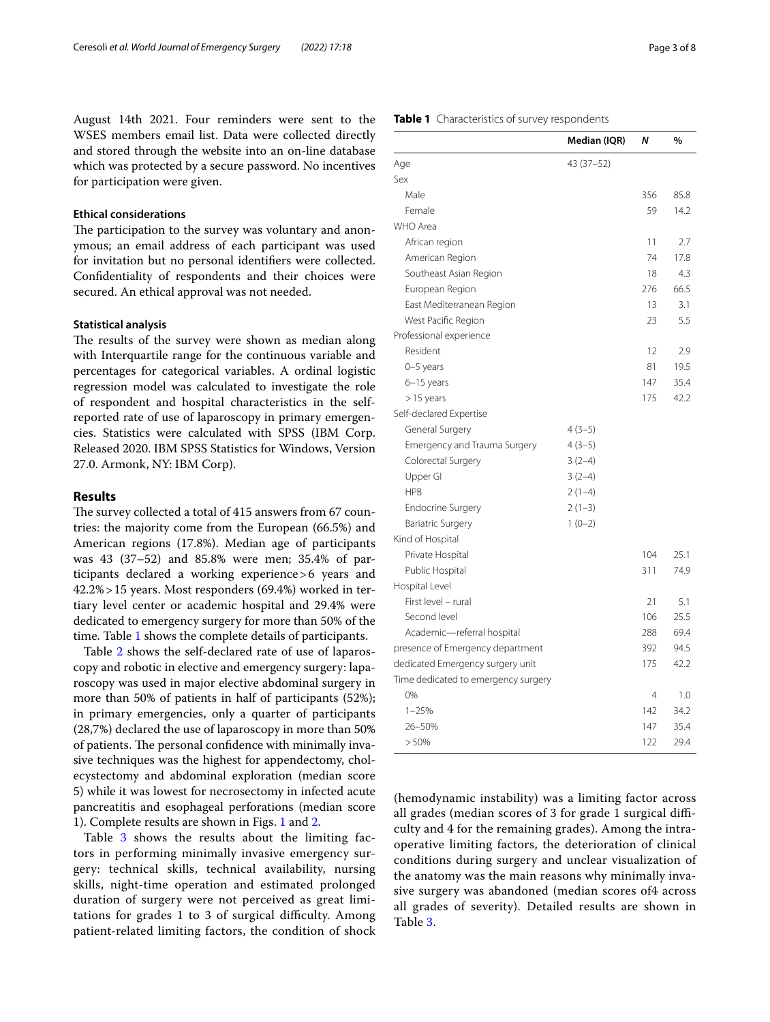August 14th 2021. Four reminders were sent to the WSES members email list. Data were collected directly and stored through the website into an on-line database which was protected by a secure password. No incentives for participation were given.

## **Ethical considerations**

The participation to the survey was voluntary and anonymous; an email address of each participant was used for invitation but no personal identifers were collected. Confdentiality of respondents and their choices were secured. An ethical approval was not needed.

## **Statistical analysis**

The results of the survey were shown as median along with Interquartile range for the continuous variable and percentages for categorical variables. A ordinal logistic regression model was calculated to investigate the role of respondent and hospital characteristics in the selfreported rate of use of laparoscopy in primary emergencies. Statistics were calculated with SPSS (IBM Corp. Released 2020. IBM SPSS Statistics for Windows, Version 27.0. Armonk, NY: IBM Corp).

## **Results**

The survey collected a total of 415 answers from 67 countries: the majority come from the European (66.5%) and American regions (17.8%). Median age of participants was 43 (37–52) and 85.8% were men; 35.4% of participants declared a working experience>6 years and 42.2%>15 years. Most responders (69.4%) worked in tertiary level center or academic hospital and 29.4% were dedicated to emergency surgery for more than 50% of the time. Table [1](#page-2-0) shows the complete details of participants.

Table [2](#page-3-0) shows the self-declared rate of use of laparoscopy and robotic in elective and emergency surgery: laparoscopy was used in major elective abdominal surgery in more than 50% of patients in half of participants (52%); in primary emergencies, only a quarter of participants (28,7%) declared the use of laparoscopy in more than 50% of patients. The personal confidence with minimally invasive techniques was the highest for appendectomy, cholecystectomy and abdominal exploration (median score 5) while it was lowest for necrosectomy in infected acute pancreatitis and esophageal perforations (median score 1). Complete results are shown in Figs. [1](#page-4-0) and [2](#page-4-1).

Table [3](#page-5-0) shows the results about the limiting factors in performing minimally invasive emergency surgery: technical skills, technical availability, nursing skills, night-time operation and estimated prolonged duration of surgery were not perceived as great limitations for grades 1 to 3 of surgical difficulty. Among patient-related limiting factors, the condition of shock

## <span id="page-2-0"></span>**Table 1** Characteristics of survey respondents

|                                     | Median (IQR) | Ν   | %    |
|-------------------------------------|--------------|-----|------|
| Age                                 | 43 (37 - 52) |     |      |
| Sex                                 |              |     |      |
| Male                                |              | 356 | 85.8 |
| Female                              |              | 59  | 14.2 |
| <b>WHO Area</b>                     |              |     |      |
| African region                      |              | 11  | 2.7  |
| American Region                     |              | 74  | 17.8 |
| Southeast Asian Region              |              | 18  | 4.3  |
| European Region                     |              | 276 | 66.5 |
| East Mediterranean Region           |              | 13  | 3.1  |
| West Pacific Region                 |              | 23  | 5.5  |
| Professional experience             |              |     |      |
| Resident                            |              | 12  | 2.9  |
| $0-5$ years                         |              | 81  | 19.5 |
| 6-15 years                          |              | 147 | 35.4 |
| $>15$ years                         |              | 175 | 42.2 |
| Self-declared Expertise             |              |     |      |
| General Surgery                     | $4(3-5)$     |     |      |
| Emergency and Trauma Surgery        | $4(3-5)$     |     |      |
| Colorectal Surgery                  | $3(2-4)$     |     |      |
| Upper GI                            | $3(2-4)$     |     |      |
| <b>HPB</b>                          | $2(1-4)$     |     |      |
| <b>Endocrine Surgery</b>            | $2(1-3)$     |     |      |
| <b>Bariatric Surgery</b>            | $1(0-2)$     |     |      |
| Kind of Hospital                    |              |     |      |
| Private Hospital                    |              | 104 | 25.1 |
| Public Hospital                     |              | 311 | 74.9 |
| Hospital Level                      |              |     |      |
| First level - rural                 |              | 21  | 5.1  |
| Second level                        |              | 106 | 25.5 |
| Academic-referral hospital          |              | 288 | 69.4 |
| presence of Emergency department    |              | 392 | 94.5 |
| dedicated Emergency surgery unit    |              | 175 | 42.2 |
| Time dedicated to emergency surgery |              |     |      |
| 0%                                  |              | 4   | 1.0  |
| $1 - 25%$                           |              | 142 | 34.2 |
| 26-50%                              |              | 147 | 35.4 |
| > 50%                               |              | 122 | 29.4 |

(hemodynamic instability) was a limiting factor across all grades (median scores of 3 for grade 1 surgical difficulty and 4 for the remaining grades). Among the intraoperative limiting factors, the deterioration of clinical conditions during surgery and unclear visualization of the anatomy was the main reasons why minimally invasive surgery was abandoned (median scores of4 across all grades of severity). Detailed results are shown in Table [3](#page-5-0).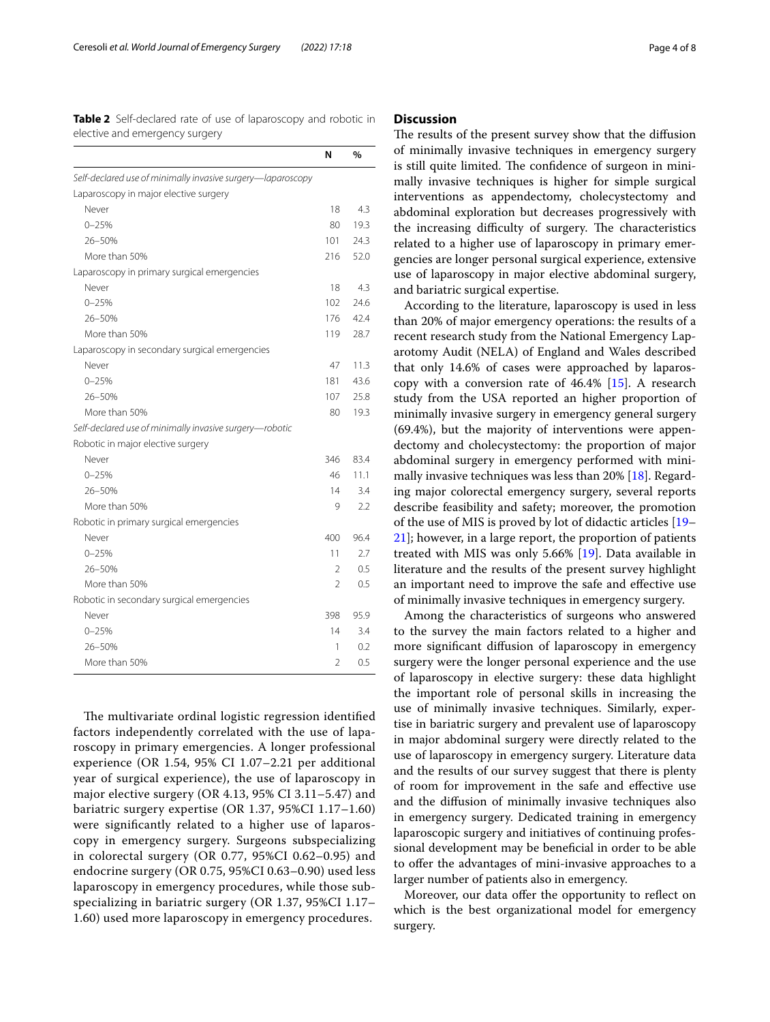<span id="page-3-0"></span>**Table 2** Self-declared rate of use of laparoscopy and robotic in elective and emergency surgery

|                                                             | N              | %    |
|-------------------------------------------------------------|----------------|------|
| Self-declared use of minimally invasive surgery-laparoscopy |                |      |
| Laparoscopy in major elective surgery                       |                |      |
| Never                                                       | 18             | 4.3  |
| $0 - 25%$                                                   | 80             | 19.3 |
| 26-50%                                                      | 101            | 24.3 |
| More than 50%                                               | 216            | 52.0 |
| Laparoscopy in primary surgical emergencies                 |                |      |
| Never                                                       | 18             | 4.3  |
| $0 - 25%$                                                   | 102            | 24.6 |
| 26-50%                                                      | 176            | 42.4 |
| More than 50%                                               | 119            | 28.7 |
| Laparoscopy in secondary surgical emergencies               |                |      |
| Never                                                       | 47             | 11.3 |
| $0 - 25%$                                                   | 181            | 43.6 |
| 26-50%                                                      | 107            | 25.8 |
| More than 50%                                               | 80             | 19.3 |
| Self-declared use of minimally invasive surgery-robotic     |                |      |
| Robotic in major elective surgery                           |                |      |
| Never                                                       | 346            | 83.4 |
| $0 - 25%$                                                   | 46             | 11.1 |
| 26-50%                                                      | 14             | 3.4  |
| More than 50%                                               | 9              | 2.2  |
| Robotic in primary surgical emergencies                     |                |      |
| Never                                                       | 400            | 96.4 |
| $0 - 25%$                                                   | 11             | 2.7  |
| 26-50%                                                      | 2              | 0.5  |
| More than 50%                                               | 2              | 0.5  |
| Robotic in secondary surgical emergencies                   |                |      |
| Never                                                       | 398            | 95.9 |
| $0 - 25%$                                                   | 14             | 3.4  |
| $26 - 50%$                                                  | 1              | 0.2  |
| More than 50%                                               | $\mathfrak{D}$ | 0.5  |

The multivariate ordinal logistic regression identified factors independently correlated with the use of laparoscopy in primary emergencies. A longer professional experience (OR 1.54, 95% CI 1.07–2.21 per additional year of surgical experience), the use of laparoscopy in major elective surgery (OR 4.13, 95% CI 3.11–5.47) and bariatric surgery expertise (OR 1.37, 95%CI 1.17–1.60) were signifcantly related to a higher use of laparoscopy in emergency surgery. Surgeons subspecializing in colorectal surgery (OR 0.77, 95%CI 0.62–0.95) and endocrine surgery (OR 0.75, 95%CI 0.63–0.90) used less laparoscopy in emergency procedures, while those subspecializing in bariatric surgery (OR 1.37, 95%CI 1.17– 1.60) used more laparoscopy in emergency procedures.

## **Discussion**

The results of the present survey show that the diffusion of minimally invasive techniques in emergency surgery is still quite limited. The confidence of surgeon in minimally invasive techniques is higher for simple surgical interventions as appendectomy, cholecystectomy and abdominal exploration but decreases progressively with the increasing difficulty of surgery. The characteristics related to a higher use of laparoscopy in primary emergencies are longer personal surgical experience, extensive use of laparoscopy in major elective abdominal surgery, and bariatric surgical expertise.

According to the literature, laparoscopy is used in less than 20% of major emergency operations: the results of a recent research study from the National Emergency Laparotomy Audit (NELA) of England and Wales described that only 14.6% of cases were approached by laparoscopy with a conversion rate of 46.4% [\[15\]](#page-7-8). A research study from the USA reported an higher proportion of minimally invasive surgery in emergency general surgery (69.4%), but the majority of interventions were appendectomy and cholecystectomy: the proportion of major abdominal surgery in emergency performed with minimally invasive techniques was less than 20% [[18](#page-7-11)]. Regarding major colorectal emergency surgery, several reports describe feasibility and safety; moreover, the promotion of the use of MIS is proved by lot of didactic articles [[19–](#page-7-12) [21\]](#page-7-13); however, in a large report, the proportion of patients treated with MIS was only 5.66% [\[19](#page-7-12)]. Data available in literature and the results of the present survey highlight an important need to improve the safe and efective use of minimally invasive techniques in emergency surgery.

Among the characteristics of surgeons who answered to the survey the main factors related to a higher and more signifcant difusion of laparoscopy in emergency surgery were the longer personal experience and the use of laparoscopy in elective surgery: these data highlight the important role of personal skills in increasing the use of minimally invasive techniques. Similarly, expertise in bariatric surgery and prevalent use of laparoscopy in major abdominal surgery were directly related to the use of laparoscopy in emergency surgery. Literature data and the results of our survey suggest that there is plenty of room for improvement in the safe and efective use and the difusion of minimally invasive techniques also in emergency surgery. Dedicated training in emergency laparoscopic surgery and initiatives of continuing professional development may be benefcial in order to be able to offer the advantages of mini-invasive approaches to a larger number of patients also in emergency.

Moreover, our data offer the opportunity to reflect on which is the best organizational model for emergency surgery.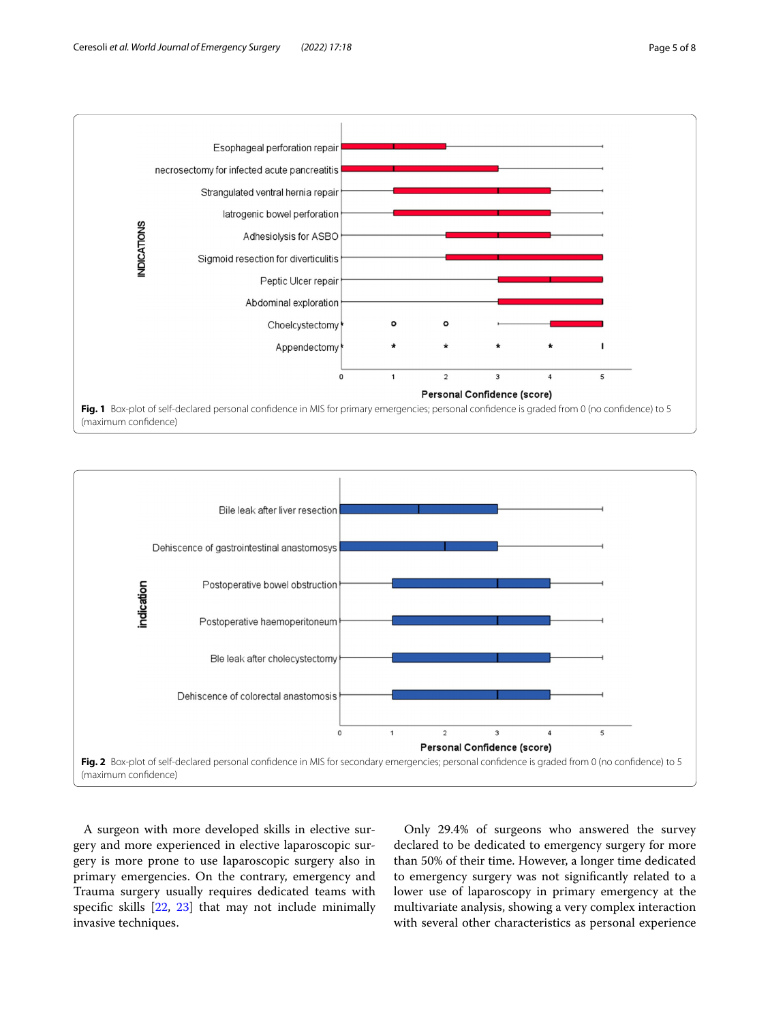

<span id="page-4-0"></span>

<span id="page-4-1"></span>A surgeon with more developed skills in elective surgery and more experienced in elective laparoscopic surgery is more prone to use laparoscopic surgery also in primary emergencies. On the contrary, emergency and Trauma surgery usually requires dedicated teams with specifc skills [[22,](#page-7-14) [23](#page-7-15)] that may not include minimally invasive techniques.

Only 29.4% of surgeons who answered the survey declared to be dedicated to emergency surgery for more than 50% of their time. However, a longer time dedicated to emergency surgery was not signifcantly related to a lower use of laparoscopy in primary emergency at the multivariate analysis, showing a very complex interaction with several other characteristics as personal experience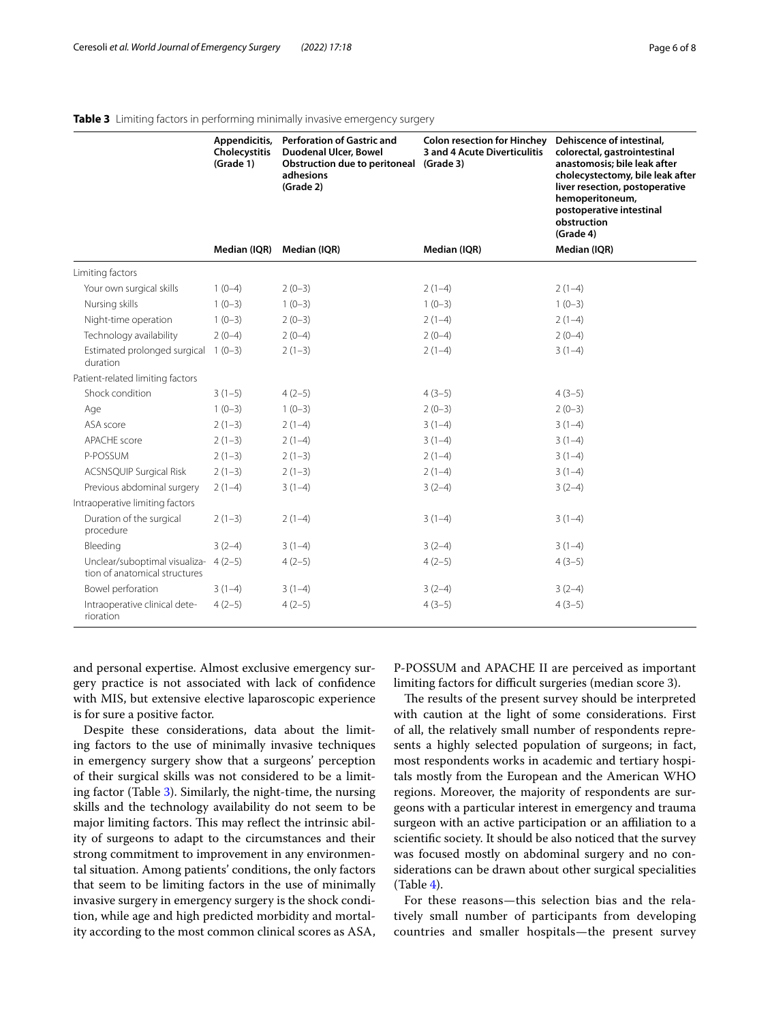|                                                                | Appendicitis,<br>Cholecystitis<br>(Grade 1) | <b>Perforation of Gastric and</b><br>Duodenal Ulcer, Bowel<br><b>Obstruction due to peritoneal</b><br>adhesions<br>(Grade 2) | <b>Colon resection for Hinchey</b><br>3 and 4 Acute Diverticulitis<br>(Grade 3) | Dehiscence of intestinal,<br>colorectal, gastrointestinal<br>anastomosis; bile leak after<br>cholecystectomy, bile leak after<br>liver resection, postoperative<br>hemoperitoneum,<br>postoperative intestinal<br>obstruction<br>(Grade 4) |  |
|----------------------------------------------------------------|---------------------------------------------|------------------------------------------------------------------------------------------------------------------------------|---------------------------------------------------------------------------------|--------------------------------------------------------------------------------------------------------------------------------------------------------------------------------------------------------------------------------------------|--|
|                                                                | Median (IQR)                                | Median (IQR)                                                                                                                 | Median (IQR)                                                                    | Median (IQR)                                                                                                                                                                                                                               |  |
| Limiting factors                                               |                                             |                                                                                                                              |                                                                                 |                                                                                                                                                                                                                                            |  |
| Your own surgical skills                                       | $1(0-4)$                                    | $2(0-3)$                                                                                                                     | $2(1-4)$                                                                        | $2(1-4)$                                                                                                                                                                                                                                   |  |
| Nursing skills                                                 | $1(0-3)$                                    | $1(0-3)$                                                                                                                     | $1(0-3)$                                                                        | $1(0-3)$                                                                                                                                                                                                                                   |  |
| Night-time operation                                           | $1(0-3)$                                    | $2(0-3)$                                                                                                                     | $2(1-4)$                                                                        | $2(1-4)$                                                                                                                                                                                                                                   |  |
| Technology availability                                        | $2(0-4)$                                    | $2(0-4)$                                                                                                                     | $2(0-4)$                                                                        | $2(0-4)$                                                                                                                                                                                                                                   |  |
| Estimated prolonged surgical<br>duration                       | $1(0-3)$                                    | $2(1-3)$                                                                                                                     | $2(1-4)$                                                                        | $3(1-4)$                                                                                                                                                                                                                                   |  |
| Patient-related limiting factors                               |                                             |                                                                                                                              |                                                                                 |                                                                                                                                                                                                                                            |  |
| Shock condition                                                | $3(1-5)$                                    | $4(2-5)$                                                                                                                     | $4(3-5)$                                                                        | $4(3-5)$                                                                                                                                                                                                                                   |  |
| Age                                                            | $1(0-3)$                                    | $1(0-3)$                                                                                                                     | $2(0-3)$                                                                        | $2(0-3)$                                                                                                                                                                                                                                   |  |
| ASA score                                                      | $2(1-3)$                                    | $2(1-4)$                                                                                                                     | $3(1-4)$                                                                        | $3(1-4)$                                                                                                                                                                                                                                   |  |
| APACHE score                                                   | $2(1-3)$                                    | $2(1-4)$                                                                                                                     | $3(1-4)$                                                                        | $3(1-4)$                                                                                                                                                                                                                                   |  |
| P-POSSUM                                                       | $2(1-3)$                                    | $2(1-3)$                                                                                                                     | $2(1-4)$                                                                        | $3(1-4)$                                                                                                                                                                                                                                   |  |
| <b>ACSNSQUIP Surgical Risk</b>                                 | $2(1-3)$                                    | $2(1-3)$                                                                                                                     | $2(1-4)$                                                                        | $3(1-4)$                                                                                                                                                                                                                                   |  |
| Previous abdominal surgery                                     | $2(1-4)$                                    | $3(1-4)$                                                                                                                     | $3(2-4)$                                                                        | $3(2-4)$                                                                                                                                                                                                                                   |  |
| Intraoperative limiting factors                                |                                             |                                                                                                                              |                                                                                 |                                                                                                                                                                                                                                            |  |
| Duration of the surgical<br>procedure                          | $2(1-3)$                                    | $2(1-4)$                                                                                                                     | $3(1-4)$                                                                        | $3(1-4)$                                                                                                                                                                                                                                   |  |
| Bleeding                                                       | $3(2-4)$                                    | $3(1-4)$                                                                                                                     | $3(2-4)$                                                                        | $3(1-4)$                                                                                                                                                                                                                                   |  |
| Unclear/suboptimal visualiza-<br>tion of anatomical structures | $4(2-5)$                                    | $4(2-5)$                                                                                                                     | $4(2-5)$                                                                        | $4(3-5)$                                                                                                                                                                                                                                   |  |
| Bowel perforation                                              | $3(1-4)$                                    | $3(1-4)$                                                                                                                     | $3(2-4)$                                                                        | $3(2-4)$                                                                                                                                                                                                                                   |  |
| Intraoperative clinical dete-<br>rioration                     | $4(2-5)$                                    | $4(2-5)$                                                                                                                     | $4(3-5)$                                                                        | $4(3-5)$                                                                                                                                                                                                                                   |  |

## <span id="page-5-0"></span>**Table 3** Limiting factors in performing minimally invasive emergency surgery

and personal expertise. Almost exclusive emergency surgery practice is not associated with lack of confdence with MIS, but extensive elective laparoscopic experience is for sure a positive factor.

Despite these considerations, data about the limiting factors to the use of minimally invasive techniques in emergency surgery show that a surgeons' perception of their surgical skills was not considered to be a limiting factor (Table [3\)](#page-5-0). Similarly, the night-time, the nursing skills and the technology availability do not seem to be major limiting factors. This may reflect the intrinsic ability of surgeons to adapt to the circumstances and their strong commitment to improvement in any environmental situation. Among patients' conditions, the only factors that seem to be limiting factors in the use of minimally invasive surgery in emergency surgery is the shock condition, while age and high predicted morbidity and mortality according to the most common clinical scores as ASA, P-POSSUM and APACHE II are perceived as important limiting factors for difficult surgeries (median score 3).

The results of the present survey should be interpreted with caution at the light of some considerations. First of all, the relatively small number of respondents represents a highly selected population of surgeons; in fact, most respondents works in academic and tertiary hospitals mostly from the European and the American WHO regions. Moreover, the majority of respondents are surgeons with a particular interest in emergency and trauma surgeon with an active participation or an affiliation to a scientifc society. It should be also noticed that the survey was focused mostly on abdominal surgery and no considerations can be drawn about other surgical specialities  $(Table 4)$  $(Table 4)$ .

For these reasons—this selection bias and the relatively small number of participants from developing countries and smaller hospitals—the present survey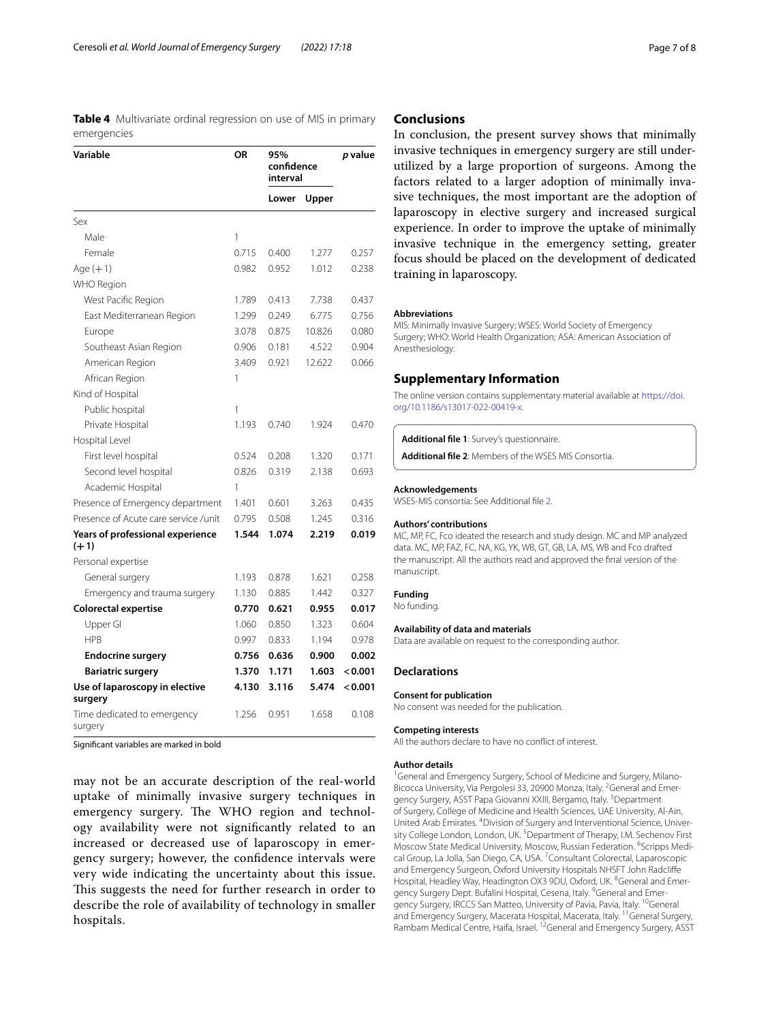<span id="page-6-1"></span>**Table 4** Multivariate ordinal regression on use of MIS in primary emergencies

| Variable                                   | ΟR    | 95%<br>confidence<br>interval |        | p value |
|--------------------------------------------|-------|-------------------------------|--------|---------|
|                                            |       | Lower                         | Upper  |         |
| $S_{PX}$                                   |       |                               |        |         |
| Male                                       | 1     |                               |        |         |
| Female                                     | 0.715 | 0.400                         | 1.277  | 0.257   |
| Age $(+1)$                                 | 0.982 | 0.952                         | 1.012  | 0.238   |
| WHO Region                                 |       |                               |        |         |
| West Pacific Region                        | 1.789 | 0.413                         | 7.738  | 0.437   |
| East Mediterranean Region                  | 1.299 | 0.249                         | 6.775  | 0.756   |
| Europe                                     | 3.078 | 0.875                         | 10.826 | 0.080   |
| Southeast Asian Region                     | 0.906 | 0.181                         | 4.522  | 0.904   |
| American Region                            | 3.409 | 0.921                         | 12.622 | 0.066   |
| African Region                             | 1     |                               |        |         |
| Kind of Hospital                           |       |                               |        |         |
| Public hospital                            | 1     |                               |        |         |
| Private Hospital                           | 1.193 | 0.740                         | 1.924  | 0.470   |
| Hospital Level                             |       |                               |        |         |
| First level hospital                       | 0.524 | 0.208                         | 1.320  | 0.171   |
| Second level hospital                      | 0.826 | 0.319                         | 2.138  | 0.693   |
| Academic Hospital                          | 1     |                               |        |         |
| Presence of Emergency department           | 1.401 | 0.601                         | 3.263  | 0.435   |
| Presence of Acute care service /unit       | 0.795 | 0.508                         | 1.245  | 0.316   |
| Years of professional experience<br>$(+1)$ | 1.544 | 1.074                         | 2.219  | 0.019   |
| Personal expertise                         |       |                               |        |         |
| General surgery                            | 1.193 | 0.878                         | 1.621  | 0.258   |
| Emergency and trauma surgery               | 1.130 | 0.885                         | 1.442  | 0.327   |
| <b>Colorectal expertise</b>                | 0.770 | 0.621                         | 0.955  | 0.017   |
| Upper Gl                                   | 1.060 | 0.850                         | 1.323  | 0.604   |
| <b>HPR</b>                                 | 0.997 | 0.833                         | 1.194  | 0.978   |
| <b>Endocrine surgery</b>                   | 0.756 | 0.636                         | 0.900  | 0.002   |
| <b>Bariatric surgery</b>                   | 1.370 | 1.171                         | 1.603  | < 0.001 |
| Use of laparoscopy in elective<br>surgery  | 4.130 | 3.116                         | 5.474  | < 0.001 |
| Time dedicated to emergency<br>surgery     | 1.256 | 0.951                         | 1.658  | 0.108   |

Signifcant variables are marked in bold

may not be an accurate description of the real-world uptake of minimally invasive surgery techniques in emergency surgery. The WHO region and technology availability were not signifcantly related to an increased or decreased use of laparoscopy in emergency surgery; however, the confdence intervals were very wide indicating the uncertainty about this issue. This suggests the need for further research in order to describe the role of availability of technology in smaller hospitals.

## **Conclusions**

In conclusion, the present survey shows that minimally invasive techniques in emergency surgery are still underutilized by a large proportion of surgeons. Among the factors related to a larger adoption of minimally invasive techniques, the most important are the adoption of laparoscopy in elective surgery and increased surgical experience. In order to improve the uptake of minimally invasive technique in the emergency setting, greater focus should be placed on the development of dedicated training in laparoscopy.

#### **Abbreviations**

MIS: Minimally Invasive Surgery; WSES: World Society of Emergency Surgery; WHO: World Health Organization; ASA: American Association of Anesthesiology.

## **Supplementary Information**

The online version contains supplementary material available at [https://doi.](https://doi.org/10.1186/s13017-022-00419-x) [org/10.1186/s13017-022-00419-x.](https://doi.org/10.1186/s13017-022-00419-x)

<span id="page-6-2"></span><span id="page-6-0"></span>**Additional fle 1**: Survey's questionnaire.

**Additional fle 2**: Members of the WSES MIS Consortia.

#### **Acknowledgements**

WSES-MIS consortia: See Additional fle [2](#page-6-2).

#### **Authors' contributions**

MC, MP, FC, Fco ideated the research and study design. MC and MP analyzed data. MC, MP, FAZ, FC, NA, KG, YK, WB, GT, GB, LA, MS, WB and Fco drafted the manuscript. All the authors read and approved the fnal version of the manuscript.

#### **Funding**

No funding.

#### **Availability of data and materials**

Data are available on request to the corresponding author.

#### **Declarations**

#### **Consent for publication**

No consent was needed for the publication.

#### **Competing interests**

All the authors declare to have no confict of interest.

#### **Author details**

<sup>1</sup> General and Emergency Surgery, School of Medicine and Surgery, Milano-Bicocca University, Via Pergolesi 33, 20900 Monza, Italy. <sup>2</sup>General and Emergency Surgery, ASST Papa Giovanni XXIII, Bergamo, Italy. <sup>3</sup>Department of Surgery, College of Medicine and Health Sciences, UAE University, Al‑Ain, United Arab Emirates. <sup>4</sup> Division of Surgery and Interventional Science, University College London, London, UK.<sup>5</sup> Department of Therapy, I.M. Sechenov First Moscow State Medical University, Moscow, Russian Federation. <sup>6</sup>Scripps Medical Group, La Jolla, San Diego, CA, USA.<sup>7</sup> Consultant Colorectal, Laparoscopic and Emergency Surgeon, Oxford University Hospitals NHSFT John Radclife Hospital, Headley Way, Headington OX3 9DU, Oxford, UK. <sup>8</sup>General and Emergency Surgery Dept. Bufalini Hospital, Cesena, Italy. <sup>9</sup>General and Emergency Surgery, IRCCS San Matteo, University of Pavia, Pavia, Italy. <sup>10</sup>General and Emergency Surgery, Macerata Hospital, Macerata, Italy. 11General Surgery, Rambam Medical Centre, Haifa, Israel. 12General and Emergency Surgery, ASST